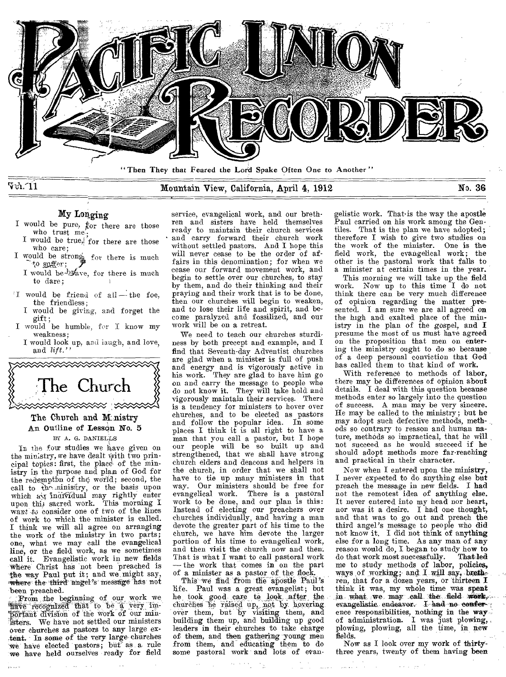

 $\nabla \Phi \cdot 11$ 

# Mountain View, California, April 4, 1912 No. 36

My Longing

- I would be pure,  $_{\text{for}}^{\text{f}}$  there are those who trust me.;
- I would be true, for there are those who care;
- I would be strong for there is much to suffer;
	- I would be-brave, for there is much to dare;
- I would be friend of all the foe, the friendless;
	- I would be giving, and forget the gift;
- I would be humble, for I know my weakness;
	- I would look up, and laugh, and love, and *lift."*



# The Church and Ministry An Outline of Lesson No. 5

BY A. G. DANIELLS

In the four studies we have given on the ministry, we have dealt yith two principal topics: first, the place of the ministry in the prpose and plan of God for the redemptim of the world; second, the call to the ministery, or the basis upon which a,; individual may rightly enter upon this sacred work. This morning I *want -to* consider one of two of the lines of work to which the minister is called. I think we will all agree on arranging the work of the ministry in two parts; one, what we may call the evangelical line, or the field work, as we sometimes call it. Evangelistic work in new fields where Christ has not been "preached is the way Paul put it; and we might say, where the third' angel's message has not been preached.

Prom the beginning of our work we have recognized that to be a very important division of the work of our ministers. We have not settled our ministers over churches as pastors to any large ex- -tent. In some of the very large. churches We have elected pastors; but' as a. rule we have held ourselves ready for field service, evangelical work, and our brethren and sisters have held themselves ready to maintain their church services and carry forward their church work without settled pastors. And I hope this will never cease to be the order of affairs in this denomination; for when we cease our forward movement work, and begin to settle over our churches, to stay by them, and do their thinking and their praying and their work that is to be done, then our churches will begin to weaken, and to lose their life and spirit, and become paralyzed and fossilized, and our work will be on a retreat.

We need to teach our churches sturdiness by both precept and example, and I find that Seventh-day Adventist churches are glad when a minister is full of push and energy and is vigorously active in his work. They are glad to have him go on and carry the message to people who do not know it. They will take hold and vigorously maintain their services. There is a tendency for ministers to hover over churches, and to be elected as pastors and follow the popular idea. In some places I think it is all right to have a man that you call a pastor, but I hope our people will be so built up and strengthened, that we shall have strong church elders and deacons and helpers in the church, in order that we shall not have to tie up many ministers in that way. Our ministers should be free for evangelical work. There is a pastoral work to be done, and our plan is this: Instead of electing our preachers over churches individually, and having a man devote the greater part of his time to the church, we have him devote the larger portion of his time to evangelical work, and then visit the church now and then. That is what I want to call pastoral work — the work that comes in on the part of a minister as a pastor of the flock.

This we find from the apostle Paul's life. Paul was a great evangelist; but he took good care to look after the churches he raised up, not by hovering<br>over them, but by visiting them, and building them up, and building up good leaders in their churches to take charge of them, and then gathering young men from them, and educating them to do some pastoral work' and lots of evangelistic work. That-is the way the apostle Paul carried on his work among the Gentiles. That is the plan we have adopted; therefore I wish to give two studies on the work of the minister. One is the field work, the evangelical work; the other is the pastoral work that falls to a minister at certain times in the year.

This morning we will take up the field work. Now up to this time I do not think there can be very much difference of opinion regarding the matter presented. I am sure we are all agreed on the high and exalted place of the min-istry in the plan of the gospel, and I presume the most of us must have agreed on the proposition that men on entering the ministry ought to do so because of a deep personal conviction that God has called them to that kind of work.

With reference to methods of labor, there may be differences of opinion about details. I deal with this question because methods enter so largely into the question of success. A man may be very sincere. He may be called to the ministry; but he may adopt such defective methods, methods so contrary to reason and human nature, methods so impractical, that he will not succeed as he would succeed if he should adopt methods more far-reaching and practical in their character.

Now when I entered upon the ministry, I never expected to do anything else but preach the message in new fields. I had not the remotest idea of anything else. It never entered into my head nor heart, nor was it a desire. I had one thought, and that was to go out and preach the third angel's message to people who did not know it. I did not think of anything else for a long time. As any man of any reason would do, I began to study how to do that work most successfully. That led do that work most successfully. me to study methods of labor, policies, ways of working; and I will say, brethren, that for a dozen years, or thirteen I think it was, my whole time was spent<br>in what we may call the field work, evangelistic, endeavor. I had no conference responsibilities, nothing in the way of administration. I was just plowing, plowing, plowing, all the time, in new fields.

Now as I look over my work of thirtythree years, twenty of them having been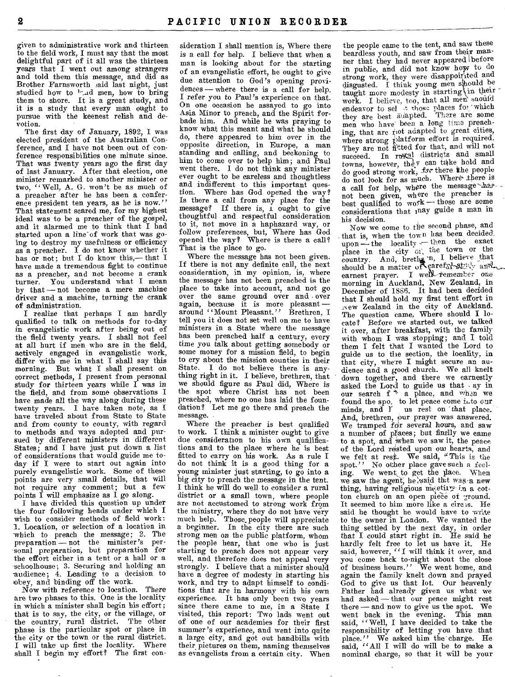given to administrative work and thirteen to the field work, I must say that the most delightful part of it all was the thirteen years that I went out among strangers and told them this message, and did as Brother Farnsworth said last night, just studied how to  $\frac{1}{4}$  men, how to bring them to shore. It is a great study, and it is a study that every man ought to pursue with the keenest relish and devotion.

The first day of January, 1892, I was elected president of the Australian Conference, and I have not been out of conference responsibilities one minute since. That was twenty years ago the first day of last January. After that election, one minister remarked to another minister or two, "Well, A. G. won't be as much of a preacher after he has been a conference president ten years, as he is now." That statement scared me, for my highest ideal was to be a preacher of the gospel, and it alarmed me to think that I had started upon a line-of work that was going to destroy my usefulness or efficiency as a preacher. I do not know whether it has or not; but I do know this,— that I have made a tremendous fight to continue as a preacher, and not become a crank turner. You understand what I mean by that — not become a mere machine driver and a machine, turning the crank of administration.

I realize that perhaps I am hardly qualified to talk on methods for to-day in evangelistic work after being out of the field twenty years. I shall not feel at all hurt if men who are in the field, actively engaged in evangelistic work, differ with me in what I shall say this morning. But what I shall present on correct methods, I present from personal study for thirteen *years* while I was *in*  the field, and from some observations I have made all the way along during these twenty years. I have taken note, as I have traveled about from State to State and from county to county, with regard to methods and ways adopted and pursued by different ministers in different States; and I have just put down a list of considerations that would guide me today if I were to start out again into purely evangelistic work. Some of these points are very small details, that will not require any comment; but a few points I will emphasize as I go along.

I have divided this question up under the four following heads under which I wish to consider methods of field work: 1. Location, or selection of a location in -which to preach the message; 2. The preparation — not the minister's personal preparation, but preparation for the effort either in a tent or a hall or a schoolhouse; 3. Securing and holding an -audience; 4. Leading to a decision to obey, and binding off the work.

Now with reference to location. There are two phases to this. One is the locality in which a minister shall begin his effort; that is to say, the city, or the village, or the country, rural district. The other phase is the particular spot or place in the city or the town or the rural district. I will take up first the locality. Where shall I begin my effort? The first con-

sideration I shall mention is, Where there is a call for help. I believe that when a man is looking about for the starting of an evangelistic effort, he ought to give due attention to God's opening providences — where there is a call for help. I refer you to Paul's experience on that. On one occasion he assayed to go into Asia Minor to preach, and the Spirit for-bade him. And while he was praying to know what this meant and what he should do, there appeared to him over in the opposite direction, in Europe, a man standing and calling, and beckoning to him to come over to help him; and Paul went there. I do not think any minister ever ought to be careless and thoughtless and indifferent to this important question. Where has God opened the way? Is there a call from any place for the message? If there is, I ought to give thoughtful and respectful consideration to it, not move in a haphazard way, or follow preferences, but, Where has God opened the way? Where is there a call? That is the place to go.

Where the message has not been given. If there is not any definite call, the next consideration, in my opinion, is, where the message has not been preached is the place to take into account, and not go over the same ground over and over again, because it is more pleasant around "Mount Pleasant." Brethren, I tell you it does not set well on me to have ministers in a State where the message has been preached half a century, every time you talk about getting somebody or some money for a mission field, to begin to cry about the mission counties in their State. I do not believe there is anything right in it. I believe, brethren, that we should figure as Paul did, Where is the spot where Christ has not been preached, where no one has laid the foundation? Let me go there and preach the message.

Where the preacher is best qualified to work. I think a minister ought to give due consideration to his own qualifications and to the place where he is best fitted to carry on his work. As a rule I do not think it is a good thing for a young minister just starting, to go into a big city to preach the message in the tent. I think he will do well to consider a rural district or a small town, where people are not accustomed to strong work from the ministry, where they do not have very much help. Those, people will appreciate a beginner. In the city there are such strong men on the public platform, whom the people hear, that one who is just starting to preach does not appear very well, and therefore does not appeal very strongly. I believe that a minister should have a degree of modesty in starting his work, and try to adapt himself to conditions that are in harmony with his own experience. It has only been two years since there came to me, in a State I visited, this report: Two lads went out of one of our academies for their first summer's experience, and went into quite a large city, and got out handbills with their. pictures on them, naming themselves as evangelists from a certain city. When

the people came to the tent, and saw these beardless youth, and saw from their manner that they had never appeared before in public, and did not know how to do strong work, they were disappointed and<br>disgusted. I think young men should be taught more modesty in starting in their work. I believe, too, that all men' snouid endeavor to sel 4, those places for which<br>they are best Auapted. There are some men who have been a long time preaching, that are root adapted to great cities, where strong platform effort is required. They are not fitted for that, and will not succeed. In rureal districts and small towns, however, they can take hold and<br>do good strong work, for there the people do not look for as much. Where' there is a call for help, where the message-hasnot been given, where the preacher is best qualified to work — those are some considerations that may guide a man in his decision.

Now we come to the second phase, and that is, when the town has been decided. upon — the locality — then the exact<br>place in the city  $\alpha$ , the town or the country. And, brethe 'n, I believe that should be a matter of careful-study and<br>earnest prayer. I well remember one<br>morning in Auckland, New Zealand, in December of 1886. It had been decided that I should hold my first tent effort in New Zealand in the city of Auckland. The question came, Where should I locate? Before we started out, we talked it over, after breakfast, with the family with whom I was stopping; and I told them I felt that I wanted the Lord to guide us to the section, the locality, in that city, where I might secure an audience and a good church. We all knelt down together, and there we earnestly asked the Lord to guide us that ay in our search  $f + a$  place, and when we found the spo, to let peace come *i.to* our minds, and I us rest on 'that place. And, brethren, our prayer was answered. We tramped for several hours, and saw a number of places; but finally we came to a spot, and when we saw it, the peace of the Lord rested upon our hearts, and we felt at rest. We said, "This is the spot." No other place gave such a feeling. We went to get the place. When we saw the agent, he said thit was a new thing, having religious meeting in a cotton church on an open piece of ground. It seemed to him more like a circis. He said he thought he would have to write to the owner in London. We wanted the thing settled by the next day, in order that I could start right in. He said he hardly felt free to let us have it. He said, however, "I will think it over, and you come back to-night about the close of business hours." We went home, and again the family knelt down and prayed God to give us that lot. Our heavenly Father had already given us what we had asked — that our peace might rest there — and now to give us the spot. We went back in the evening. This man said, "Well, I have decided to take the responsibility of letting you have that place." We asked him the charge. He said, "All I will do will be to make a nominal charge, so that it will be your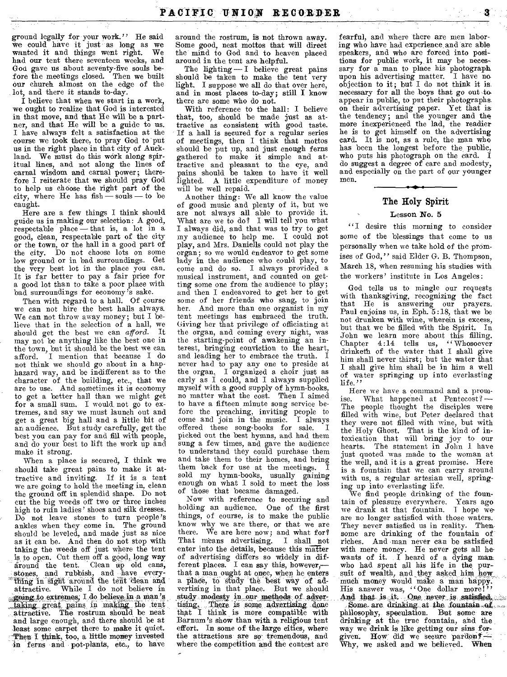ground legally for your work." He said we could have it just as long as we wanted it and things went right. We had our tent there seventeen weeks, and God gave us about seventy-five souls be-fore the meetings closed. Then we built our church almost on the edge of the lot, and there it stands to-day.

I believe that when we start in a work, we ought to realise that God is interested in that move, and that He will be a partner, and that He will be a guide to us. I have always felt a satisfaction at the course we took there, to pray God to put us in the right place in that city of Auckland. We must do this work along spiritual lines, and not along the lines of carnal wisdom and carnal power; therefore I reiterate that we should pray God to help us choose the right part of the city, where He has fish — souls — to be caught.

Here are a few things I think should guide us in making our selection: A good, respectable place — that is, a lot in a good, clean, respectable part of the city or the town, or the hall in a good part of the city. Do not choose lots on some low ground or in bad surroundings. Get the very best lot in the place you can. It is far better to pay a fair price for a good lot than to take a poor place with bad surroundings for economy's sake.

Then with regard to a hall. Of course we can not hire the best halls always. We can not throw away money; but I believe that in the selection of a hall, we should get the best we can *afford*. may not be anything like the best one in the town, but it should be the best we can afford. I mention that because I do not think we should go about in a haphazard way, and be indifferent as to the character of the building, etc., that we are to use. And sometimes it is economy to get a better hall than we might get for a small sum. I would not go to extremes, and say we must launch out and get a great big hall and a little bit of an audience. But study carefully, get the best you can pay for and fill with people, and do your best to lift the work up and make it strong.

When a place is secured, I think we should take great pains to make it attractive and inviting. If it is a tent we are going to hold the meeting in, clean the ground off in splendid shape. Do not cut the big weeds off two or three inches high to ruin ladies' shoes and silk dresses. Do not leave stones to turn people's ankles when they come in. The ground should be leveled, and made just as nice as it can be. And then do not stop with taking the weeds off just where the tent is to open. Cut them off a good, long way around the tent. Clean up old cans, stones, and rubbish, and have every-<br>thing in sight around the tent 'clean and<br>attractive. While I do not believe in <sup>5</sup> "going to extremes; I do believe in a man's taking, great pains in making, the tent attractive. The rostrum should be neat and large enough, and there should be at least some carpet there to make it quiet. 'Then I think, too, a little money invested in ferns and pot-plants, etc., to have

around the rostrum, is not thrown away. Some good, neat mottos that will direct the mind to God and to heaven placed around in the tent are helpful.

The lighting —I believe great pains should be taken to make the tent very light. I suppose we all do that over here, and in most places to-day; still I know there are some who do not.

With reference to the hall: I believe that, too, should be made just as attractive as consistent with good taste. If a hall is secured for a regular series of meetings, then I think that mottos should be put up, and just enough ferns gathered to make it simple and attractive and pleasant to the eye, and pains should be taken to have it well lighted. A little expenditure of money will be well repaid.

Another thing: We all know the value of good music and plenty of it, but we are not always all able to provide it. What are we to do? I will tell you what I always did, and that was to try to get my audience to help me. I could not play, and Mrs. Daniells could not play the organ; so we would endeavor to get some lady in the audience who could play, to come and do so. I always provided a musical instrument, and counted on getting some one from the audience to play; and then I endeavored to get her to get some of her friends who sang, to join her. And more than one organist in my tent meetings has embraced the truth. Giving her that privilege of officiating at the organ, and coming every night, was the starting-point of awakening an interest, bringing conviction to the heart, and leading her to embrace the truth. I never had to pay any one to preside at the organ, I organized a choir just as early as I could, and I always supplied myself with a good supply of hymn-books, no matter what the cost. Then I aimed to have a fifteen minute song service before the preaching, inviting people to come and join in the music. I always come and join in the music. offered these song-books for sale. picked out the best hymns, and had them sung a few times, and gave the audience to understand they could purchase them and take them to their homes, and bring them back for use at the meetings. sold my hymn-books, usually gaining enough on what I sold to meet the loss of those that became damaged.

Now with reference to securing and holding an audience. One of the first things, of course, is to make the public know why we are there, or that we are there. We are here now; and what for? That means advertising. I shall not enter into the details, because this matter of advertising differs so widely in different places. I can say this, however, that a man ought at once, when he enters a place, to study the best way of advertising in that place. But we should study modesty in, onr methods of advertising. There is some advertising done that I think is more compatible with Barnum's show than with a religious tent effort. In some of the large cities, where the attractions are so-tremendous, and where the competition and the contest are

fearful, and where 'there are men laboring who have had experience, and are able speakers, and who are forced into positions for public work, it may be necessary for a man to place his photograph. upon his advertising matter. I have no objection to it; but I do not think it is necessary for all the boys that go out to. appear in public, to put their photographa on their advertising paper. Yet that is. the tendency; and the younger and the more inexperienced the lad, the readier he is to get himself on the advertising card. It is not, as a rule, the man who has been the longest before the, public, who puts his photograph on the card. I do suggest a degree of care and modesty, and especially on the part of our younger men.

### **The Holy Spirit**

### Lesson No. 5

"I desire this morning to consider some of the blessings that come to us personally when we take hold of the promises of God," said Elder G. B. Thompson, March 18, when resuming his studies with the workers' institute in Los Angeles:

God tells us to mingle our requests with thanksgiving, recognizing the fact that He is answering our prayers. Paul enjoins us, in Eph. 5:18, that we be not drunken with wine, wherein is excess, but that we be filled with the Spirit. In John we learn more about this filling. Chapter 4:14 tells us, "Whosoever drinketh of the water that I shall give him shall never thirst; but the water that I shall give him shall be in him a well of water springing up into everlasting life."

Here we have a command and a promise. What happened at Pentecost? — The people thought the disciples were filled with wine, but Peter declared that they were not filled with wine, but with the Holy Ghost. That is the kind of intoxication that will bring joy to our hearts. The statement in John I have just quoted was made to the woman at the well, and it is a great promise. Here is a fountain that we can carry around with us, a regular artesian well, springing up into everlasting life.

We find people drinking of the fountain of pleasure everywhere. Years ago we drank at that fountain. I hope weare no longer satisfied with those waters. They never satisfied us in reality. Thensome are drinking of the fountain of riches. And man never can be satisfied with mere money. He never gets all hewants of it. I heard of a dying man who had spent all his life in the pursuit of wealth, and,they asked him how much money would make a man happy.<br>His answer was, "One dollar more!"

And that is it. One never is satisfied. Some are drinking at the fountain of philosophy, speculation. But some are drinking at the true fountain, and the way we drink is like getting our sins forgiven. HOW did we secure pardenf— Why, we asked and we believed. When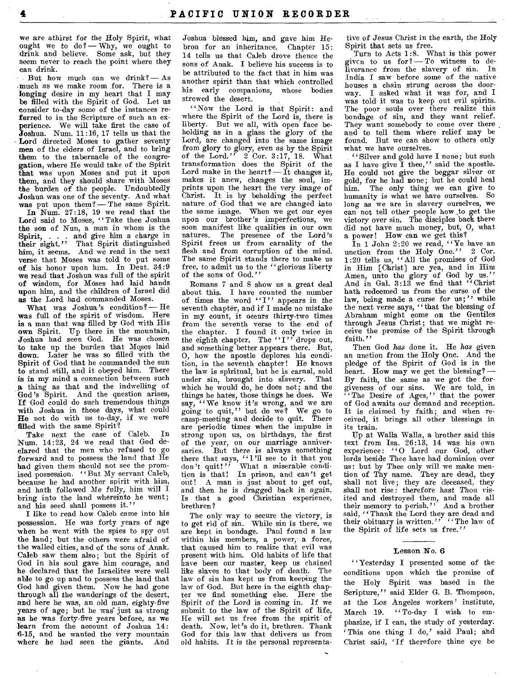we are athirst for the Holy Spirit, what ought we to do? Why, we ought to drink and believe. Some ask, but they seem never to reach the point where they can drink.

But how much can we drink? — As .much as we make room for. There is a longing desire in my heart that I may be filled with the Spirit of God. Let us consider to-day some of the instances referred to in the Scripture of such an experience. We will take first the case of Joshua. Num. 11:16, 17 tells us that the • Lord directed Moses to gather seventy men of the elders of Israel, and to bring them to the tabernacle of the congregation, where He would take of the Spirit that was upon Moses and put it upon them, and they should share with Moses the burden of the people. Undoubtedly Joshua was one of the seventy. And what was put upon them? - The same Spirit.

In Num. 27:18; 19 we read that the Lord said to Moses, "Take thee Joshua the son of Nun, a man in whom is the **Spirit, . . .** and give him a charge in **their** sight." That Spirit distinguished **him, it** seems. And we read in the next verse that Moses was told to put some of his honor upon him. In Dent. 34:9 **we** read that Joshua was full of the spirit of wisdom, for Moses had laid hands upon him, and the children of Israel did as the Lord had commanded Moses.

What was Joshua's condition? — He was full of the spirit of wisdom. Here is a man that was filled by God with His own Spirit. Up there in the mountain, Joshua had seen God. He was chosen to take up the burden that Moses laid **down.** Later he was so filled with the Spirit of God that he commanded the sun **to** stand still, and it obeyed him. There is in my mind a connection between such a thing as that and the indwelling of **God's** Spirit. And the question arises, **If** God could do such tremendous things with Joshua in those days, what could **He not** do with us to-day, if we were **filled** with the same Spirit?

Take next the case of Caleb. In Num. 14:23, 24 we read that God declared that the men who refused to go forward and to possess the land that He **had** given them should not see the prom-ised possession. "But My servant Caleb, because he had another spirit with him, and bath followed Me fully, him will I bring into the land whereinto he went; and his seed shall possess it.'

I like to read how Caleb came into his possession. He was forty years of age when he went with the spies to spy out **the land;** but the others were afraid of the walled cities, and of the sons of Anak. Caleb saw them also; but the Spirit of God in his soul gave him courage, and he declared that the Israelites were well **able to** go up and to possess the land that God had given them. Now he had gone through all the wanderings of the desert, **and here** he was, an old man, eighty-five years of age; but he was just as strong as he was forty-five years before, as we **learn** from the account of Joshua 14: 6-15, and he wanted the very mountain where he had seen the giants. And

Joshua blessed him, and gave him Hebron for an inheritance. Chapter 15: 14 tells us that Caleb drove thence the sons of Anak. I believe his success is to be attributed to the fact that in him was another spirit than that which controlled his early companions, whose bodies strewed the desert.

"Now the Lord is that Spirit: and where the Spirit of the Lord is, there is liberty. But we all, with open face beholding as in a glass the glory of the Lord, are changed into the same image from glory to glory, even as by the Spirit of the Lord." 2 Cor. 3:17, 18. What transformation does the Spirit of the Lord make in the heart? — It changes it,<br>makes it anew, changes the soul, imprints upon the heart the very image of Christ. It is by beholding the perfect nature of God that we are changed into the same image. When we get our eyes upon our brother's imperfections, we soon manifest like qualities in our own natures. The presence of the Lord's Spirit frees us from carnality of the flesh and from corruption of the mind. The same Spirit stands there to make us free, to admit us to the "glorious liberty<br>of the sons of God."

Romans 7 and 8 show us a great deal about this. I have counted the number of times the word "I" appears in the seventh chapter, and if I made no mistake in my count, it occurs thirty-two times from the seventh verse to the end of the chapter. I found it only twice in the eighth chapter. The "I" drops out, and something better appears there. But, **0,** how the apostle deplores his condition, in the seventh chapter! He knows the law is spiritual, but he is carnal, sold<br>under sin, brought into slavery. That under sin, brought into slavery. which he would do, he does not; and the things he hates, those things he does. We say, "We know it's wrong, and we are going to quit," but do we? We go to camp-meeting and decide to quit. There are periodic times when the impulse is strong upon us, on birthdays, the first of the year, on our marriage anniversaries. But there is always something there that says, "I'll see to it that you don't quit!" What a miserable condition is that! In prison, and can't get out! A man is just about to get out, and then he is dragged back in again. Is that a good Christian experience, brethren?

The only way to secure the victory, is to get rid of sin. While sin is there, we are kept in bondage. Paul found a law within his members, a power, a force, that caused him to realize that evil was present with him. Old habits of life that have been our master, keep us chained like slaves to that body of death. The law of sin has kept us from keeping the law of God. But here in the eighth chap-ter we find something else. Here the Spirit of the Lord is coming in. If we submit to the law of the Spirit of life, He will set us free from the spirit of death. Now, let's do it, brethren. Thank God for this law that delivers us from old habits. It is the personal representa-

 $\overline{a}$ 

tive of *Jesus* Christ in the earth, the Holy Spirit that sets us free.

Turn to Acts 1:8. What is this power given to us for? — To witness to deliverance from the slavery of sin. In India I saw before some of the native houses a chain strung across the doorway. I asked what it was for, and I was told it was to keep out evil spirits. The poor souls over there realize this bondage of sin, and they want relief. They want somebody to come over there and to tell them where relief may be found. But we can show to others only what we have ourselves.

"Silver and gold have I none; but such as I have give I thee," said the apostle. He could not give the beggar silver or gold, for he had none; but he could heal *him.* The only thing we can give to humanity is what we have ourselves. So long as we are in slavery ourselves, we can not tell other people how .to get the victory over sin. The disciples back there did not have much money, but, **0,** what a power! How can we get this?

In 1 John 2:20 we read, "Ye have an unction from the Holy One." 2 Cor. 1:20 tells us, "All the promises of God in Him [Christ] are yea, and in Him Amen, unto the glory of God by us."<br>And in Gal. 3:13 we find that "Christ bath redeemed us from the curse of the law, being made a curse for us;" while the next verse says, "that the blessing of Abraham might come on the Gentiles through Jesus Christ; that we might receive the promise of the Spirit through faith."

Then God has done it. He has given an unction from the Holy One. And the pledge of the Spirit of God is in the heart. How may we get the blessing? --By faith, the same as we got the forgiveness of our sins. We are told, in " The Desire of Ages," that the power of God awaits our demand and reception. It is claimed by faith; and when received, it brings all other blessings in its train.

Up at Walla Walla, a brother said this text from Isa.  $26:13$ ,  $14$  was his own experience: **"O** Lord our God, other lords beside Thee have had dominion over us: but by Thee only will we make men-tion of Thy name. They are dead, they shall not live; they are deceased, they shall not rise: therefore bast Thou visited and destroyed them, and made all their memory to perish." And a brother said, "Thank the Lord they are dead and their obituary is written." "The law of the Spirit of life sets us free.'

#### **Lesson No. 6**

"Yesterday I presented some of the conditions upon which the promise of the Holy Spirit was based in the Scripture," said Elder G. B. Thompson, at the Los Angeles workers' institute, March 19. "To-day I wish to emphasize, if I can, the study of yesterday. `This one thing I do,' said Paul; and Christ said, `If therefore thine *eye* be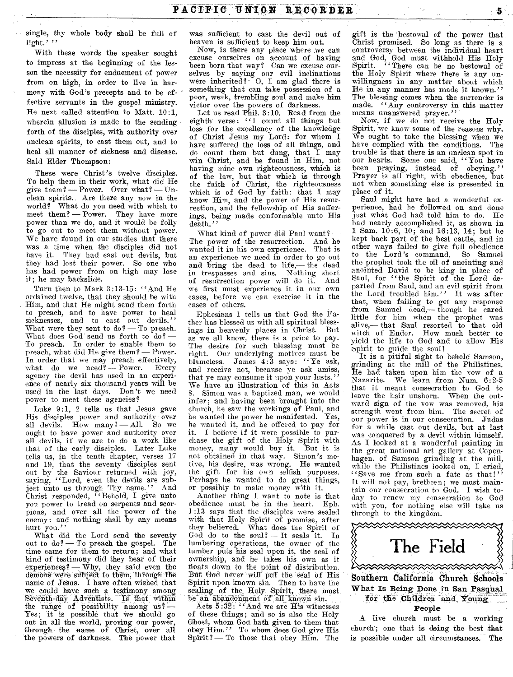single, thy whole body shall be full of light.'''

With these words the speaker sought to impress at the beginning of the lesson the necessity for enduement of power from on high, in order to live in harmony with God's precepts and to be effective servants in the gospel ministry. He next called attention to Matt. 10:1, wherein allusion is made to the sending forth of the disciples, with authority over unclean spirits, to cast them out, and to heal all manner of sickness and disease. Said Elder Thompson:

These were Christ's twelve disciples. To help them in their work, what did He give them? — Power. Over what? — Unclean spirits.. Are there any now in the world? What do you need with which to meet them? — Power. They have more power than we do, and it would be folly to go out to meet them without power. We have found in our studies that there was a time when the disciples did not have it. They had cast out devils, but they had lost their power. So one who has had power from on high may lose it; he may backslide.

Turn then to Mark 3:13-15: "And He ordained twelve, that they should be with Him, and that He might send them forth to preach, and to have power to heal sicknesses, and to cast out devils."<br>What were they sent to do? — To preach. What does God send us forth to  $d\theta$ ? — To preach. In order to enable them to preach, what did He give them? — Power. In order that we may preach effectively, what do we need? — Power. Every agency the devil has used in an experience of nearly six thousand years will be used in the last days. Don't we need power to meet these agencies?

Luke 9:1, 2 tells us that Jesus gave His disciples power and authority over all devils. How many? — All. So we ought to have power and authority over all devils, if we are to do a work like that of the early disciples. Later Luke tells us, in the tenth chapter, verses 17 and 19, that the seventy disciples sent out by the Saviour returned with joy, saying, "Lord, even the devils are subject unto us through Thy name." And Christ responded, "Behold, I give unto you power to tread on serpents and scorpions, and over all the power of the enemy: and nothing shall by any means hurt you."

What did the Lord send the seventy out to  $d\sigma$ ? — To preach the gospel. The time came for them to return; and what kind of testimony did they bear of their experiences? — Why, they said even the demons were subject to them, through the name of Jesus. I have often wished that we could haye such a testimony among Seventh-day Adventists. Is that within the range of possibility among  $us?$  — Yes; it is possible that we should go out in all the world, proving our power, through the name of Christ, over all the powers of darkness. The power that

was sufficient to cast the devil out of heaven is sufficient to keep him out.

Now, is there any place where we can excuse ourselves on account of having been born that way? Can we excuse ourselves by saying our evil inclinations were inherited? - 0, **I** am glad there is something that can take possession of a poor, weak, trembling soul and make him victor over the powers of darkness.

Let us read Phil. 3:10. Read from the eighth verse: "I count all things but loss for the excellency of the knowledge of Christ Jesus my Lord: for whom I have suffered the loss of all things, and do count them but dung, that I may win Christ, and be found in Him, not having mine own righteousness, which is of the law, but that which is through the faith of Christ, the righteousness which is of God by faith: that I may know Him, and the power of His resurrection, and the fellowship of His sufferings, being made conformable unto His death."

What kind of power did Paul want? — The power of the resurrection. And he wanted it in his own experience. That is an experience we need in order to go out and bring the dead to life,— the dead in trespasses and sins. Nothing short of resurrection power will do it. And we first must experience it in our own eases, before we can exercise it in the cases of others.

Ephesians 1 tells us that God the Father has blessed us with all spiritual blessings in heavenly places in Christ. But as we all know, there is a price to pay. The desire for such blessing must be right. Our underlying motives must be blameless. James 4:3 says: "Ye ask, and receive not, because ye ask amiss, that ye may consume it upon your lusts." We have an illustration of this in Acts 8. Simon was a baptized man, we would infer; and having been brought into the church, he saw the workings of Paul, and he wanted the power he manifested. Yes, he wanted it, and he offered to pay for it. I believe if it were possible to purchase the gift of the Holy Spirit with<br>money, many would buy it. But it is money, many would buy it. not obtained in that way. Simon's motive, his desire, was wrong. He wanted the gift for his own selfish purposes. Perhaps he wanted to do great things, or possibly to make money with it.

Another thing I want to note is that obedience must be in the heart. Eph. 1:13 says that the disciples were sealed with that Holy Spirit of promise, after they believed. What does the Spirit of God do to the soul? — It seals it. In lumbering operations, the owner of the lumber puts his seal upon it, the seal of ownership, and he takes his own as it floats down to the point of distribution. But God never will put the seal of His Spirit upon known sin. Then to have the sealing of the Holy Spirit, there must be an abandonment of all known sin.

Acts 5:32: "And we are His witnesses of these things; and so is also the Holy Ghost, whom God bath given to them that obey Him." To whom does God give His Spirit? — To those that obey Him. The

gift is the bestowal of the power that Christ promised. So long as there is a controversy between the individual heart and God, God must withhold His Holy Spirit. "There can be no bestowal of the Holy Spirit where there is any unwillingness in any matter about which He in any manner has made it known." The blessing comes when the surrender is made. ''Any controversy in this matter means unanswered prayer."

Now, if we do not receive the Holy Spirit, we know some of the reasons why. We ought to take the blessing when we have complied with the conditions. The trouble is that there is an unclean spot in our hearts. Some one said, "You have been praying, instead of obeying." Prayer is all right, with obedience, but not when something else is presented in place of it.

Saul might have had a wonderful experience, had he followed on and done just what God had told him to do. He had nearly accomplished it, as shown in 1 Sam. 10:6, 10; and 16:13, 14; but he kept back part of the best cattle, and in other ways failed to give full obedience to the Lord's command. So Samuel the prophet took the oil of anointing and anointed David to be king in place of Saul, for "the Spirit of the Lord departed from Saul, and an evil spirit from the Lord troubled him." It was after that, when failing to get any response from Samuel dead,— though he cared little for him when the prophet was alive,— that Saul resorted to that old witch of Endor. How much better to yield the life to God and to allow His spirit to guide the soul!

It is a pitiful sight to behold Samson, grinding at the mill of the Philistines. He had taken upon him the vow of a Nazarite. We learn from Num. 6:2-5 that it meant consecration to God to leave the hair unshorn. When the outward sign of the vow was removed, his strength went from him. The secret of our power is in our consecration. Judas for a while cast out devils, but at last was conquered by a devil within himself. As I looked at a wonderful painting in the great national art gallery at Copenhagen. of Samson grinding at the mill, while the Philistines looked on, I cried, "Save me from such a fate as that!" It will not pay, brethren; we must maintain our consecration to God. I wish today to renew my consecration to God with you, for nothing else will take us through to the kingdom.



Sonthern California Church Schools What Is Being Done in San Pasqual for the Children and Young. **People** 

A live church must be a working church; one that is **doing** the best that is possible under all circumstances. The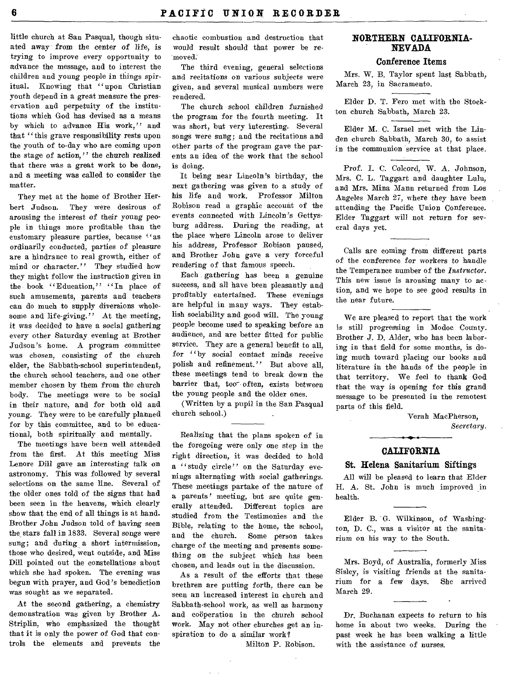little church at San Pasqual, though situated away from the center of *life,* is trying to improve every opportunity to advance the message, and to interest the children and young people in things spiritual. Knowing that "upon Christian youth depend in a great measure the preservation and perpetuity of the institutions which God has devised as a means by which to advance His work," and that "this grave responsibility rests upon the youth of to-day who are coming upon the stage of action," the church realized that there was a great work to be done, and a meeting was called to consider the matter.

They met at the home of Brother Herbert Judson. They were desirous of arousing the interest of their young people in things more profitable than the customary pleasure parties, because "as ordinarily conducted, parties of pleasure are a hindrance to real growth, either of mind or character." They studied how they might follow the instruction given in the book "Education," "In place of such amusements, parents and teachers can do much to supply diversions wholesome and life-giving." At the meeting, it was decided to have a social gathering every other Saturday evening at Brother Judson's home. A program committee was chosen, consisting of the church elder, the Sabbath-school superintendent, the church school teachers, and one other member chosen by them from the church body. The meetings were to be social in their nature, and for both old and young. They were to be carefully planned for by this committee, and to be educational, both spiritually and mentally.

The meetings have been well attended from the first. At this meeting Miss Lenore Dill gave an interesting talk on astronomy. This was followed by several selections on the same line. Several of the older ones told of the signs that had been seen in the heavens, which clearly show that the end of all things is at hand. Brother John Judson told of having seen the stars fall in 1833. Several songs were sung; and during a short intermission, those who desired, went outside, and Miss Dill pointed out the constellations about which she had spoken. The evening was begun with prayer, and God's benediction was sought as we separated.

At the second gathering, a chemistry demonstration was given by Brother A. Striplin, who emphasized the thought that it is only the power of God that controls the elements and prevents the

chaotic combustion and destruction that would result should that power be removed.

The third evening, general selections and recitations on various subjects were given, and several musical numbers were rendered.

The church school children furnished the program for the fourth meeting. It was short, but very interesting. Several songs were sung; and the recitations and other parts of the program gave the parents an idea of the work that the school is doing.

It being near Lincoln's birthday, the next gathering was given to a study of his life and work. Professor Milton Robison read a graphic account of the events connected with Lincoln's Gettysburg address. During the reading, at the place where Lincoln arose to deliver his address, Professor Robison paused, and Brother John gave a very forceful rendering of that famous speech.

Each gathering has been a genuine success, and all have been pleasantly and profitably entertained. These evenings are helpful in many ways. They establish sociability and good will. The young people become used to speaking before an audience, and are better fitted for public service. They are a general benefit to all, for "by social contact *minds* receive polish and refinement." But above all, these meetings tend to break down the barrier that, too-often, exists between the young people and the older ones.

(Written by a pupil in the San Pasqual church school.)

Realizing that the plans spoken of in the foregoing were only one step in the right direction, it was decided to hold a "study circle" on the Saturday evenings alternating with social gatherings. These meetings partake of the nature of a parents' meeting, but are quite generally attended. Different topics are studied from the Testimonies and the Bible, relating to the home, the school, Some person takes charge of the meeting and presents something on the subject which has been chosen, and leads out in the discussion.

As a result of the efforts that these brethren are putting forth, there can be seen an increased interest in church and Sabbath-school work, as well as harmony and cooperation in the church school work. May not other churches get an inspiration to do a similar work?

Milton P. Robison.

## **NORTHERN CALIFORNIA-NEVADA**

### **Conference Items**

Mrs. W. B. Taylor spent last Sabbath, March 23, in Sacramento.

Elder D. T. Fero met with the Stockton church Sabbath, March 23.

Elder M. C. Israel met with the Linden church Sabbath, March 30, to assist in the communion service at that place.

Prof. I. C. Colcord, W. A. Johnson, Mrs. C. L. Taggart and daughter Lulu, and Mrs. Mina Mann returned from Los Angeles March 27, where they have been attending the Pacific Union Conference. Elder Taggart will not return for several days yet.

Calls are coming from different parts of the conference for workers to handle the Temperance number of the *Instructor.*  This new issue is arousing many to action, and we hope to see good results in the near future.

We are pleased to report that the work is still progressing in Modoc County. Brother J. D. Alder, who has been laboring in that field for some months, is doing much toward placing our books and literature in the hands of the people in that territory. We feel to thank God that the way is opening for this grand message to be presented in the remotest parts of this field.

> Verah MacPherson, *Secretary.*

# **CALIFORNIA**

### **St. Helena Sanitarium Siftings**

All will be pleased to learn that Elder H. A. St. John is much improved in health.

Elder B. G. Wilkinson, of Washington, D. C., was a visitor at the sanitarium on his way to the South.

Mrs. Boyd, of Australia, formerly Miss Sisley, is visiting friends at the sanitarium for a few days. She arrived March 29.

Dr. Buchanan expects to return to his home in about two weeks. During the past week he has been walking a little with the assistance of nurses.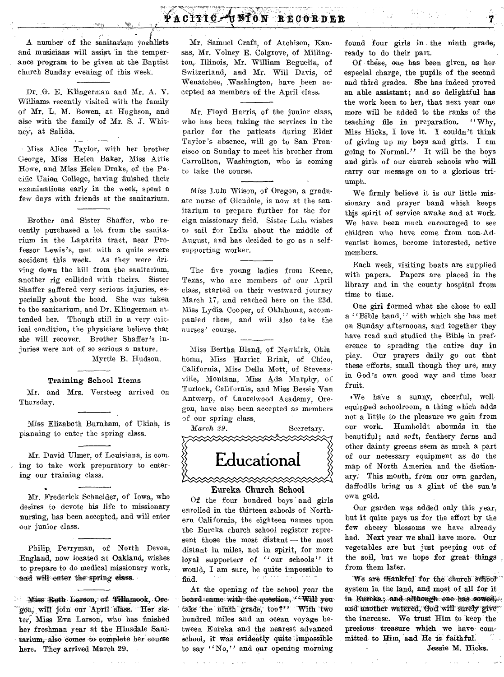# **PACITIC THION RECORDER**

A number of the sanitarium vocalists and musicians will assist, 'in the temperance program to be given at the Baptist church Sunday evening of this week.

Dr. G. E. Klingerman and Mr. A. V. Williams recently visited with the family of Mr. L. M. Bowen, at Hughson, and also with the family of Mr. S. J. WhitneY, at Salida.

Miss Alice Taylor, with her brother George, Miss Helen Baker, Miss Attie Howe, and Miss Helen Drake, of the Pacific Union College, having finished their examinations early in the week, spent a few days with friends at the sanitarium.

Brother and Sister Shaffer, who recently purchased a lot from the sanitarium in the Laparita tract, near Professor Lewis's, met with a quite severe accident this week. As they were driving down the hill from the sanitarium, another rig collided with theirs. Sister Shaffer suffered very serious injuries, especially about the head. She was taken to the sanitarium, and Dr. Klingerman attended her. Though still in a very critical condition, the physicians believe that she will recover. Brother Shaffer's injuries were not of so serious a nature.

## Myrtle B. Hudson.

### **Training School Items**

Mr. and Mrs. Versteeg arrived on Thursday.

Miss Elizabeth Burnham, of Ukiah, is planning to enter the spring class.

Mr. David Ulmer, of Louisiana, is coming to take work preparatory to entering our training class.

Mr. Frederick Schneider, of Iowa, who desires to devote his life to missionary nursing, has been accepted, and will enter our junior class.

Philip, Perryman, of North Devon, England, now located at Oakland, wishes to prepare to do medical missionary work, and will enter the spring elass.

**Miss Ruth Larson, of Tillamook, Ore**gon, will join our April class. Her sister, Miss Eva Larson, who has finished her freshman year at the Hinsdale Sanitarium, also comes to complete her course here. They arrived March 29.

Mr. Samuel Craft, of Atchison, Kansas, Mr. Volney E. Colgrove, of Millington, Illinois, Mr. William Beguelin, of Switzerland, and Mr. Will Davis, of Wenatchee, Washington, have been accepted as members of the April class.

Mr. Floyd Harris, of the junior class, who has been taking the services in the parlor for the patients during Elder Taylor's absence, will go to San Francisco on Sunday to meet his brother from Carrollton, Washington, who is coming to take the course.

Miss Lulu Wilson, of Oregon, a graduate nurse of Glendale, is now at the sanitarium to prepare further for the foreign missionary field. Sister Lulu wishes **to** sail for India about the middle of August, and has decided to go as a selfsupporting worker.

The five young ladies from Keene, **Texas,** who are members of our April **class,** started on their westward journey **March** 17, and reached here on the 23d. Miss Lydia Cooper, of Oklahoma, accompanied them, and will also take the **nurses'** course.

Miss Bertha Bland, of Newkirk, Oklahoma, Miss Harriet Brink, of Chico, California, Miss Della Mott, of Stevensville, Montana, Miss Ada Murphy, of Turlock, California, and Miss Bessie Van Antwerp, of Laureiwood Academy, Oregon, have also been accepted as members of our spring class.

*March 29.* Secretary.



### Eureka Church School

Of the four hundred boys and girls enrolled in the thirteen schools of Northern California, the eighteen names upon the Eureka church school register represent those the most distant — the most distant in miles, not in spirit, for more loyal supporters of "our schools" it would, I am sure, be quite impossible to find.

At the opening of the school year the board came with the question, **Will you** take the ninth grade, too?" With two hundred miles and an ocean voyage between Eureka **and the** nearest advanced school, it was evidently quite impossible to say "No," **and our opening morning** 

**found four girls in the ninth grade, ready to do their part.** 

**Of these, one has been given, as her especial charge, the pupils of the second and third grades. She has indeed proved an able assistant; and so delightful has the work been to her, that next year one more will be added to the ranks of the teaching file in preparation. "Why, Miss Hicks, I love it. I couldn't think of giving up my boys and girls. I am going to Normal." It will be the boys and girls of our church schools who will carry our message on to a glorious triumph.** 

**We firmly believe it is our little missionary and prayer band which keeps this spirit of service awake and at work. We have been much encouraged to see children who have come from non-Adventist homes, become interested, active members.** 

**Each week, visiting boats are supplied with papers. Papers are placed in the library and in the county hospital from time to time.** 

**One girl formed what she chose to call a "Bible band," with which she has met on Sunday afternoons, and together they have read and studied the Bible in preference to spending the entire day in**  play. **Our prayers daily go out that**  these efforts, **small though** they are, may in God's own **good way and time bear fruit.** 

. We have a sunny, cheerful, well**equipped schoolroom, a thing which adds not a little to the pleasure we gain from our work. Humboldt abounds in the beautiful; and soft, feathery ferns and other dainty greens seem as much a part**  of our necessary equipment as do the map of North America and the **dictionary: This month, from our own garden, daffodils bring us a glint of the** sun's own gold.

Our garden was added only this year, but it quite pays us for the effort by the few cheery blossoms we have already had. Next year we shall have more. Our vegetables are but just peeping out of the soil, but we hope for great things from them later.

We are thankful for the church school system in the land, and most of **all for it**  in Eureka; and although one has sowed, and another watered, God will surely give the increase. We trust Him to keep **the precious treasure which we have committed to Him, and** He is **faithful Jessie** M. **Hicks.**